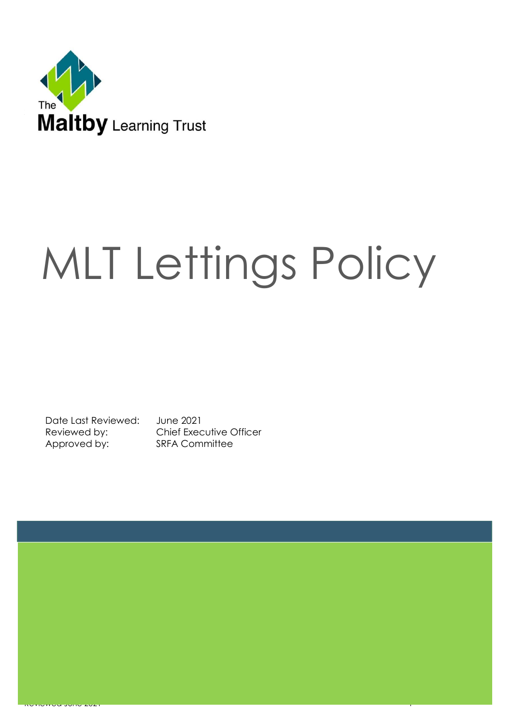

# MLT Lettings Policy

Date Last Reviewed: June 2021 Approved by: SRFA Committee

Reviewed by: Chief Executive Officer

Reviewed June 2021 - Production of the Charles Communication of the Charles Communication of the Charles Charles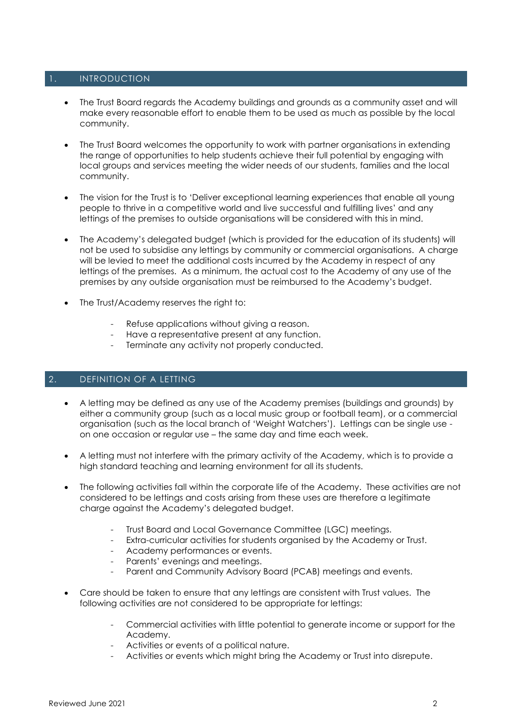# 1. INTRODUCTION

- The Trust Board regards the Academy buildings and grounds as a community asset and will make every reasonable effort to enable them to be used as much as possible by the local community.
- The Trust Board welcomes the opportunity to work with partner organisations in extending the range of opportunities to help students achieve their full potential by engaging with local groups and services meeting the wider needs of our students, families and the local community.
- The vision for the Trust is to 'Deliver exceptional learning experiences that enable all young people to thrive in a competitive world and live successful and fulfilling lives' and any lettings of the premises to outside organisations will be considered with this in mind.
- The Academy's delegated budget (which is provided for the education of its students) will not be used to subsidise any lettings by community or commercial organisations. A charge will be levied to meet the additional costs incurred by the Academy in respect of any lettings of the premises. As a minimum, the actual cost to the Academy of any use of the premises by any outside organisation must be reimbursed to the Academy's budget.
- The Trust/Academy reserves the right to:
	- Refuse applications without giving a reason.
	- Have a representative present at any function.
	- Terminate any activity not properly conducted.

#### 2. DEFINITION OF A LETTING

- A letting may be defined as any use of the Academy premises (buildings and grounds) by either a community group (such as a local music group or football team), or a commercial organisation (such as the local branch of 'Weight Watchers'). Lettings can be single use on one occasion or regular use – the same day and time each week.
- A letting must not interfere with the primary activity of the Academy, which is to provide a high standard teaching and learning environment for all its students.
- The following activities fall within the corporate life of the Academy. These activities are not considered to be lettings and costs arising from these uses are therefore a legitimate charge against the Academy's delegated budget.
	- Trust Board and Local Governance Committee (LGC) meetings.
	- Extra-curricular activities for students organised by the Academy or Trust.
	- Academy performances or events.
	- Parents' evenings and meetings.
	- Parent and Community Advisory Board (PCAB) meetings and events.
- Care should be taken to ensure that any lettings are consistent with Trust values. The following activities are not considered to be appropriate for lettings:
	- Commercial activities with little potential to generate income or support for the Academy.
	- Activities or events of a political nature.
	- Activities or events which might bring the Academy or Trust into disrepute.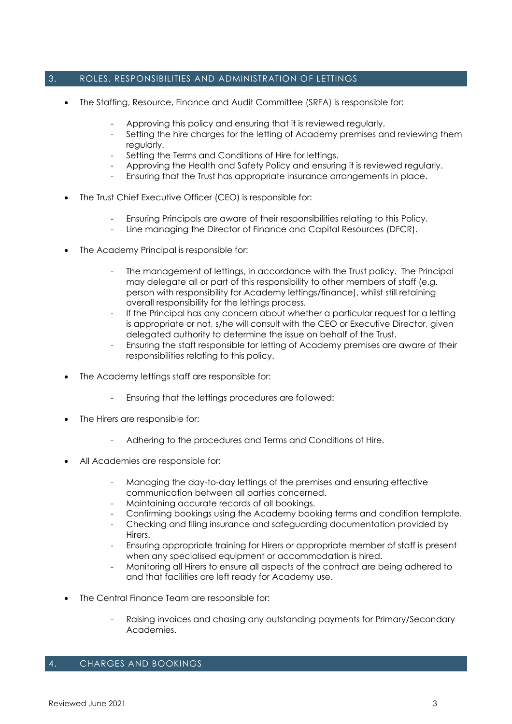# 3. ROLES, RESPONSIBILITIES AND ADMINISTRATION OF LETTINGS

- The Staffing, Resource, Finance and Audit Committee (SRFA) is responsible for:
	- Approving this policy and ensuring that it is reviewed regularly.
	- Setting the hire charges for the letting of Academy premises and reviewing them regularly.
	- Setting the Terms and Conditions of Hire for lettings.
	- Approving the Health and Safety Policy and ensuring it is reviewed regularly.
	- Ensuring that the Trust has appropriate insurance arrangements in place.
- The Trust Chief Executive Officer (CEO) is responsible for:
	- Ensuring Principals are aware of their responsibilities relating to this Policy.
	- Line managing the Director of Finance and Capital Resources (DFCR).
- The Academy Principal is responsible for:
	- The management of lettings, in accordance with the Trust policy. The Principal may delegate all or part of this responsibility to other members of staff (e.g. person with responsibility for Academy lettings/finance), whilst still retaining overall responsibility for the lettings process.
	- If the Principal has any concern about whether a particular request for a letting is appropriate or not, s/he will consult with the CEO or Executive Director, given delegated authority to determine the issue on behalf of the Trust.
	- Ensuring the staff responsible for letting of Academy premises are aware of their responsibilities relating to this policy.
- The Academy lettings staff are responsible for:
	- Ensuring that the lettings procedures are followed:
- The Hirers are responsible for:
	- Adhering to the procedures and Terms and Conditions of Hire.
- All Academies are responsible for:
	- Managing the day-to-day lettings of the premises and ensuring effective communication between all parties concerned.
	- Maintaining accurate records of all bookings.
	- Confirming bookings using the Academy booking terms and condition template.
	- Checking and filing insurance and safeguarding documentation provided by **Hirers**
	- Ensuring appropriate training for Hirers or appropriate member of staff is present when any specialised equipment or accommodation is hired.
	- Monitoring all Hirers to ensure all aspects of the contract are being adhered to and that facilities are left ready for Academy use.
- The Central Finance Team are responsible for:
	- Raising invoices and chasing any outstanding payments for Primary/Secondary Academies.

#### 4. CHARGES AND BOOKINGS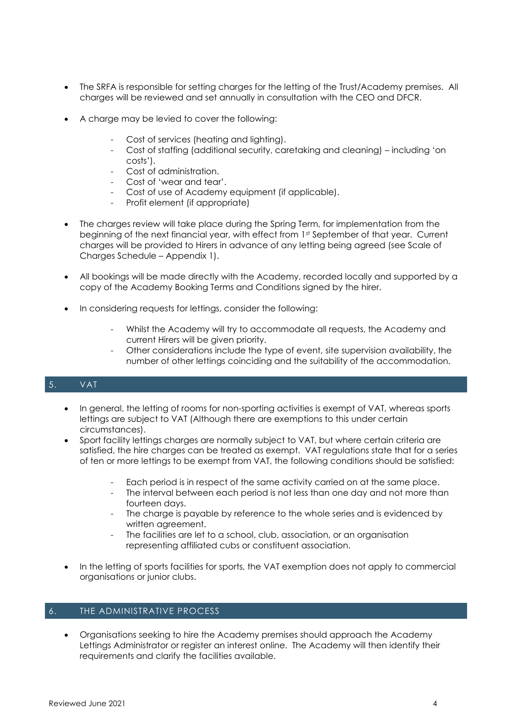- The SRFA is responsible for setting charges for the letting of the Trust/Academy premises. All charges will be reviewed and set annually in consultation with the CEO and DFCR.
- A charge may be levied to cover the following:
	- Cost of services (heating and lighting).
	- Cost of staffing (additional security, caretaking and cleaning) including 'on costs').
	- Cost of administration.
	- Cost of 'wear and tear'.
	- Cost of use of Academy equipment (if applicable).
	- Profit element (if appropriate)
- The charges review will take place during the Spring Term, for implementation from the beginning of the next financial year, with effect from 1st September of that year. Current charges will be provided to Hirers in advance of any letting being agreed (see Scale of Charges Schedule – Appendix 1).
- All bookings will be made directly with the Academy, recorded locally and supported by a copy of the Academy Booking Terms and Conditions signed by the hirer.
- In considering requests for lettings, consider the following:
	- Whilst the Academy will try to accommodate all requests, the Academy and current Hirers will be given priority.
	- Other considerations include the type of event, site supervision availability, the number of other lettings coinciding and the suitability of the accommodation.

#### 5. VAT

- In general, the letting of rooms for non-sporting activities is exempt of VAT, whereas sports lettings are subject to VAT (Although there are exemptions to this under certain circumstances).
- Sport facility lettings charges are normally subject to VAT, but where certain criteria are satisfied, the hire charges can be treated as exempt. VAT regulations state that for a series of ten or more lettings to be exempt from VAT, the following conditions should be satisfied:
	- Each period is in respect of the same activity carried on at the same place.
	- The interval between each period is not less than one day and not more than fourteen days.
	- The charge is payable by reference to the whole series and is evidenced by written agreement.
	- The facilities are let to a school, club, association, or an organisation representing affiliated cubs or constituent association.
- In the letting of sports facilities for sports, the VAT exemption does not apply to commercial organisations or junior clubs.

#### 6. THE ADMINISTRATIVE PROCESS

• Organisations seeking to hire the Academy premises should approach the Academy Lettings Administrator or register an interest online. The Academy will then identify their requirements and clarify the facilities available.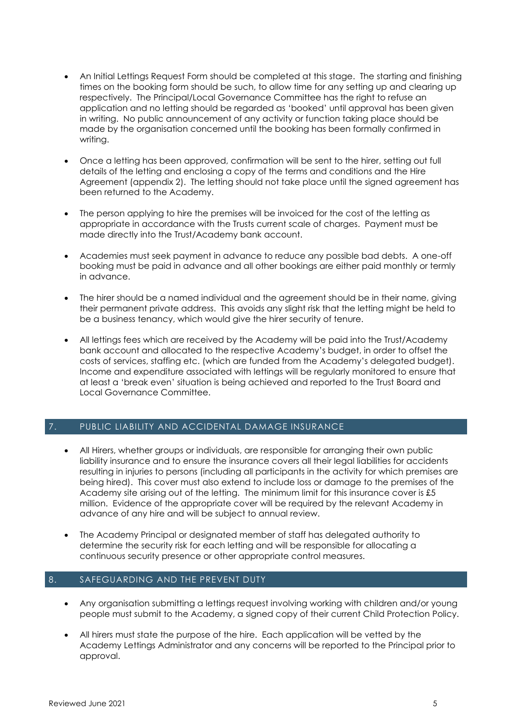- An Initial Lettings Request Form should be completed at this stage. The starting and finishing times on the booking form should be such, to allow time for any setting up and clearing up respectively. The Principal/Local Governance Committee has the right to refuse an application and no letting should be regarded as 'booked' until approval has been given in writing. No public announcement of any activity or function taking place should be made by the organisation concerned until the booking has been formally confirmed in writing.
- Once a letting has been approved, confirmation will be sent to the hirer, setting out full details of the letting and enclosing a copy of the terms and conditions and the Hire Agreement (appendix 2). The letting should not take place until the signed agreement has been returned to the Academy.
- The person applying to hire the premises will be invoiced for the cost of the letting as appropriate in accordance with the Trusts current scale of charges. Payment must be made directly into the Trust/Academy bank account.
- Academies must seek payment in advance to reduce any possible bad debts. A one-off booking must be paid in advance and all other bookings are either paid monthly or termly in advance.
- The hirer should be a named individual and the agreement should be in their name, giving their permanent private address. This avoids any slight risk that the letting might be held to be a business tenancy, which would give the hirer security of tenure.
- All lettings fees which are received by the Academy will be paid into the Trust/Academy bank account and allocated to the respective Academy's budget, in order to offset the costs of services, staffing etc. (which are funded from the Academy's delegated budget). Income and expenditure associated with lettings will be regularly monitored to ensure that at least a 'break even' situation is being achieved and reported to the Trust Board and Local Governance Committee.

# 7. PUBLIC LIABILITY AND ACCIDENTAL DAMAGE INSURANCE

- All Hirers, whether groups or individuals, are responsible for arranging their own public liability insurance and to ensure the insurance covers all their legal liabilities for accidents resulting in injuries to persons (including all participants in the activity for which premises are being hired). This cover must also extend to include loss or damage to the premises of the Academy site arising out of the letting. The minimum limit for this insurance cover is £5 million. Evidence of the appropriate cover will be required by the relevant Academy in advance of any hire and will be subject to annual review.
- The Academy Principal or designated member of staff has delegated authority to determine the security risk for each letting and will be responsible for allocating a continuous security presence or other appropriate control measures.

#### 8. SAFEGUARDING AND THE PREVENT DUTY

- Any organisation submitting a lettings request involving working with children and/or young people must submit to the Academy, a signed copy of their current Child Protection Policy.
- All hirers must state the purpose of the hire. Each application will be vetted by the Academy Lettings Administrator and any concerns will be reported to the Principal prior to approval.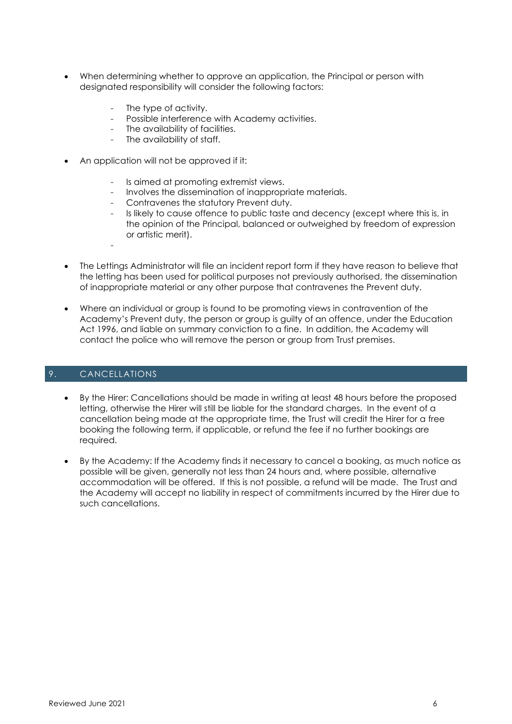- When determining whether to approve an application, the Principal or person with designated responsibility will consider the following factors:
	- The type of activity.
	- Possible interference with Academy activities.
	- The availability of facilities.
	- The availability of staff.
- An application will not be approved if it:
	- Is aimed at promoting extremist views.
	- Involves the dissemination of inappropriate materials.
	- Contravenes the statutory Prevent duty.
	- Is likely to cause offence to public taste and decency (except where this is, in the opinion of the Principal, balanced or outweighed by freedom of expression or artistic merit).
- The Lettings Administrator will file an incident report form if they have reason to believe that the letting has been used for political purposes not previously authorised, the dissemination of inappropriate material or any other purpose that contravenes the Prevent duty.
- Where an individual or group is found to be promoting views in contravention of the Academy's Prevent duty, the person or group is guilty of an offence, under the Education Act 1996, and liable on summary conviction to a fine. In addition, the Academy will contact the police who will remove the person or group from Trust premises.

# 9. CANCELLATIONS

-

- By the Hirer: Cancellations should be made in writing at least 48 hours before the proposed letting, otherwise the Hirer will still be liable for the standard charges. In the event of a cancellation being made at the appropriate time, the Trust will credit the Hirer for a free booking the following term, if applicable, or refund the fee if no further bookings are required.
- By the Academy: If the Academy finds it necessary to cancel a booking, as much notice as possible will be given, generally not less than 24 hours and, where possible, alternative accommodation will be offered. If this is not possible, a refund will be made. The Trust and the Academy will accept no liability in respect of commitments incurred by the Hirer due to such cancellations.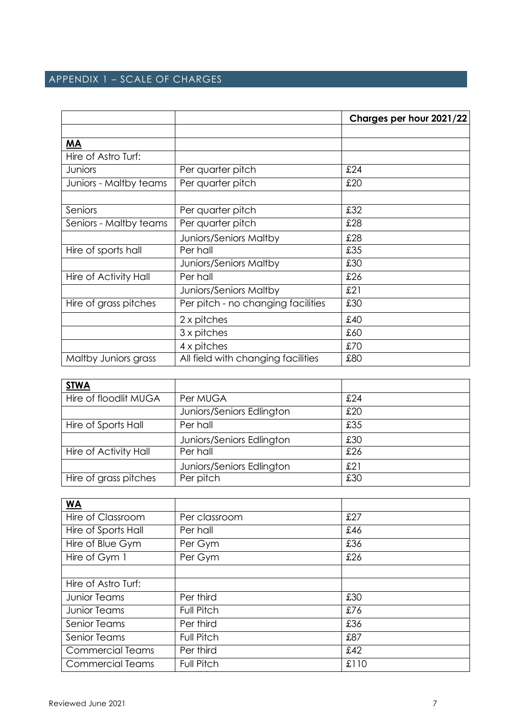# APPENDIX 1 – SCALE OF CHARGES

|                        |                                    | Charges per hour 2021/22 |
|------------------------|------------------------------------|--------------------------|
|                        |                                    |                          |
| <b>MA</b>              |                                    |                          |
| Hire of Astro Turf:    |                                    |                          |
| Juniors                | Per quarter pitch                  | £24                      |
| Juniors - Maltby teams | Per quarter pitch                  | £20                      |
|                        |                                    |                          |
| Seniors                | Per quarter pitch                  | £32                      |
| Seniors - Maltby teams | Per quarter pitch                  | £28                      |
|                        | <b>Juniors/Seniors Maltby</b>      | £28                      |
| Hire of sports hall    | Per hall                           | £35                      |
|                        | <b>Juniors/Seniors Maltby</b>      | £30                      |
| Hire of Activity Hall  | Per hall                           | £26                      |
|                        | <b>Juniors/Seniors Maltby</b>      | £21                      |
| Hire of grass pitches  | Per pitch - no changing facilities | £30                      |
|                        | 2 x pitches                        | £40                      |
|                        | 3 x pitches                        | £60                      |
|                        | 4 x pitches                        | £70                      |
| Maltby Juniors grass   | All field with changing facilities | £80                      |

| <b>STWA</b>           |                           |     |
|-----------------------|---------------------------|-----|
| Hire of floodlit MUGA | Per MUGA                  | £24 |
|                       | Juniors/Seniors Edlington | £20 |
| Hire of Sports Hall   | Per hall                  | £35 |
|                       | Juniors/Seniors Edlington | £30 |
| Hire of Activity Hall | Per hall                  | £26 |
|                       | Juniors/Seniors Edlington | £21 |
| Hire of grass pitches | Per pitch                 | £30 |

| <b>WA</b>               |                   |      |
|-------------------------|-------------------|------|
| Hire of Classroom       | Per classroom     | £27  |
| Hire of Sports Hall     | Per hall          | £46  |
| Hire of Blue Gym        | Per Gym           | £36  |
| Hire of Gym 1           | Per Gym           | £26  |
|                         |                   |      |
| Hire of Astro Turf:     |                   |      |
| <b>Junior Teams</b>     | Per third         | £30  |
| <b>Junior Teams</b>     | <b>Full Pitch</b> | £76  |
| Senior Teams            | Per third         | £36  |
| <b>Senior Teams</b>     | <b>Full Pitch</b> | £87  |
| <b>Commercial Teams</b> | Per third         | £42  |
| <b>Commercial Teams</b> | <b>Full Pitch</b> | £110 |
|                         |                   |      |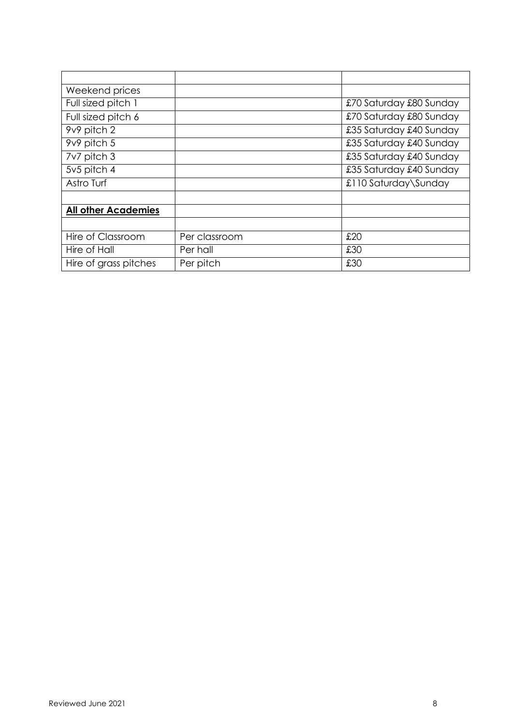| Weekend prices             |               |                         |
|----------------------------|---------------|-------------------------|
| Full sized pitch 1         |               | £70 Saturday £80 Sunday |
| Full sized pitch 6         |               | £70 Saturday £80 Sunday |
| 9v9 pitch 2                |               | £35 Saturday £40 Sunday |
| 9v9 pitch 5                |               | £35 Saturday £40 Sunday |
| 7v7 pitch 3                |               | £35 Saturday £40 Sunday |
| 5v5 pitch 4                |               | £35 Saturday £40 Sunday |
| Astro Turf                 |               | £110 Saturday\Sunday    |
|                            |               |                         |
| <b>All other Academies</b> |               |                         |
|                            |               |                         |
| Hire of Classroom          | Per classroom | £20                     |
| Hire of Hall               | Per hall      | £30                     |
| Hire of grass pitches      | Per pitch     | £30                     |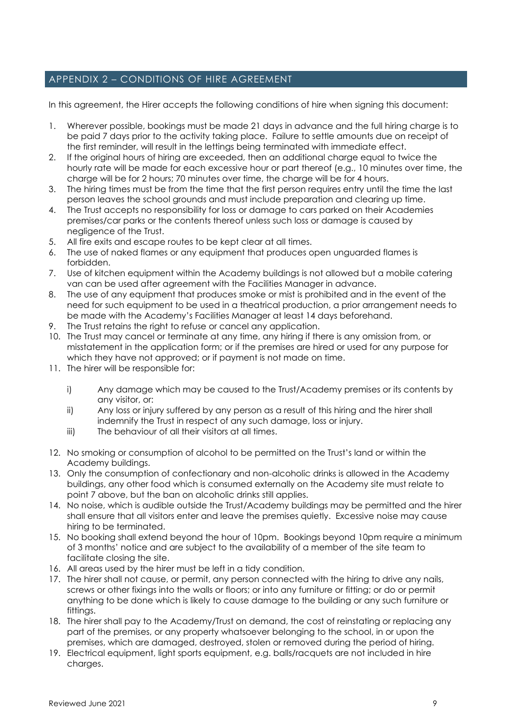# APPENDIX 2 – CONDITIONS OF HIRE AGREEMENT

In this agreement, the Hirer accepts the following conditions of hire when signing this document:

- 1. Wherever possible, bookings must be made 21 days in advance and the full hiring charge is to be paid 7 days prior to the activity taking place. Failure to settle amounts due on receipt of the first reminder, will result in the lettings being terminated with immediate effect.
- 2. If the original hours of hiring are exceeded, then an additional charge equal to twice the hourly rate will be made for each excessive hour or part thereof (e.g., 10 minutes over time, the charge will be for 2 hours; 70 minutes over time, the charge will be for 4 hours.
- 3. The hiring times must be from the time that the first person requires entry until the time the last person leaves the school grounds and must include preparation and clearing up time.
- 4. The Trust accepts no responsibility for loss or damage to cars parked on their Academies premises/car parks or the contents thereof unless such loss or damage is caused by negligence of the Trust.
- 5. All fire exits and escape routes to be kept clear at all times.
- 6. The use of naked flames or any equipment that produces open unguarded flames is forbidden.
- 7. Use of kitchen equipment within the Academy buildings is not allowed but a mobile catering van can be used after agreement with the Facilities Manager in advance.
- 8. The use of any equipment that produces smoke or mist is prohibited and in the event of the need for such equipment to be used in a theatrical production, a prior arrangement needs to be made with the Academy's Facilities Manager at least 14 days beforehand.
- 9. The Trust retains the right to refuse or cancel any application.
- 10. The Trust may cancel or terminate at any time, any hiring if there is any omission from, or misstatement in the application form; or if the premises are hired or used for any purpose for which they have not approved; or if payment is not made on time.
- 11. The hirer will be responsible for:
	- i) Any damage which may be caused to the Trust/Academy premises or its contents by any visitor, or:
	- ii) Any loss or injury suffered by any person as a result of this hiring and the hirer shall indemnify the Trust in respect of any such damage, loss or injury.
	- iii) The behaviour of all their visitors at all times.
- 12. No smoking or consumption of alcohol to be permitted on the Trust's land or within the Academy buildings.
- 13. Only the consumption of confectionary and non-alcoholic drinks is allowed in the Academy buildings, any other food which is consumed externally on the Academy site must relate to point 7 above, but the ban on alcoholic drinks still applies.
- 14. No noise, which is audible outside the Trust/Academy buildings may be permitted and the hirer shall ensure that all visitors enter and leave the premises quietly. Excessive noise may cause hiring to be terminated.
- 15. No booking shall extend beyond the hour of 10pm. Bookings beyond 10pm require a minimum of 3 months' notice and are subject to the availability of a member of the site team to facilitate closing the site.
- 16. All areas used by the hirer must be left in a tidy condition.
- 17. The hirer shall not cause, or permit, any person connected with the hiring to drive any nails, screws or other fixings into the walls or floors; or into any furniture or fitting; or do or permit anything to be done which is likely to cause damage to the building or any such furniture or fittings.
- 18. The hirer shall pay to the Academy/Trust on demand, the cost of reinstating or replacing any part of the premises, or any property whatsoever belonging to the school, in or upon the premises, which are damaged, destroyed, stolen or removed during the period of hiring.
- 19. Electrical equipment, light sports equipment, e.g. balls/racquets are not included in hire charges.